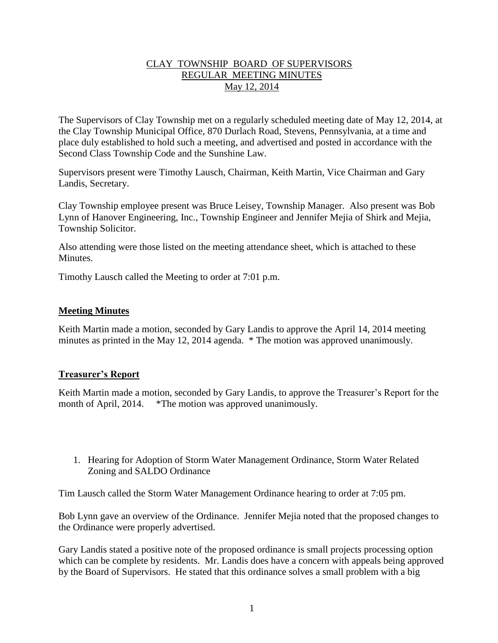# CLAY TOWNSHIP BOARD OF SUPERVISORS REGULAR MEETING MINUTES May 12, 2014

The Supervisors of Clay Township met on a regularly scheduled meeting date of May 12, 2014, at the Clay Township Municipal Office, 870 Durlach Road, Stevens, Pennsylvania, at a time and place duly established to hold such a meeting, and advertised and posted in accordance with the Second Class Township Code and the Sunshine Law.

Supervisors present were Timothy Lausch, Chairman, Keith Martin, Vice Chairman and Gary Landis, Secretary.

Clay Township employee present was Bruce Leisey, Township Manager. Also present was Bob Lynn of Hanover Engineering, Inc., Township Engineer and Jennifer Mejia of Shirk and Mejia, Township Solicitor.

Also attending were those listed on the meeting attendance sheet, which is attached to these **Minutes** 

Timothy Lausch called the Meeting to order at 7:01 p.m.

## **Meeting Minutes**

Keith Martin made a motion, seconded by Gary Landis to approve the April 14, 2014 meeting minutes as printed in the May 12, 2014 agenda. \* The motion was approved unanimously.

## **Treasurer's Report**

Keith Martin made a motion, seconded by Gary Landis, to approve the Treasurer's Report for the month of April, 2014. \*The motion was approved unanimously.

1. Hearing for Adoption of Storm Water Management Ordinance, Storm Water Related Zoning and SALDO Ordinance

Tim Lausch called the Storm Water Management Ordinance hearing to order at 7:05 pm.

Bob Lynn gave an overview of the Ordinance. Jennifer Mejia noted that the proposed changes to the Ordinance were properly advertised.

Gary Landis stated a positive note of the proposed ordinance is small projects processing option which can be complete by residents. Mr. Landis does have a concern with appeals being approved by the Board of Supervisors. He stated that this ordinance solves a small problem with a big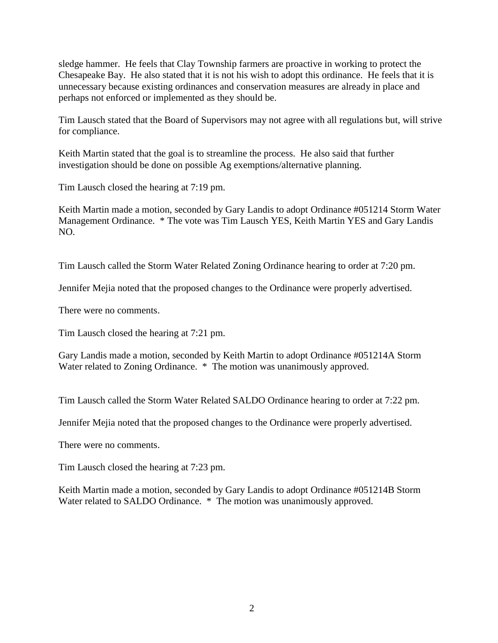sledge hammer. He feels that Clay Township farmers are proactive in working to protect the Chesapeake Bay. He also stated that it is not his wish to adopt this ordinance. He feels that it is unnecessary because existing ordinances and conservation measures are already in place and perhaps not enforced or implemented as they should be.

Tim Lausch stated that the Board of Supervisors may not agree with all regulations but, will strive for compliance.

Keith Martin stated that the goal is to streamline the process. He also said that further investigation should be done on possible Ag exemptions/alternative planning.

Tim Lausch closed the hearing at 7:19 pm.

Keith Martin made a motion, seconded by Gary Landis to adopt Ordinance #051214 Storm Water Management Ordinance. \* The vote was Tim Lausch YES, Keith Martin YES and Gary Landis NO.

Tim Lausch called the Storm Water Related Zoning Ordinance hearing to order at 7:20 pm.

Jennifer Mejia noted that the proposed changes to the Ordinance were properly advertised.

There were no comments.

Tim Lausch closed the hearing at 7:21 pm.

Gary Landis made a motion, seconded by Keith Martin to adopt Ordinance #051214A Storm Water related to Zoning Ordinance.  $*$  The motion was unanimously approved.

Tim Lausch called the Storm Water Related SALDO Ordinance hearing to order at 7:22 pm.

Jennifer Mejia noted that the proposed changes to the Ordinance were properly advertised.

There were no comments.

Tim Lausch closed the hearing at 7:23 pm.

Keith Martin made a motion, seconded by Gary Landis to adopt Ordinance #051214B Storm Water related to SALDO Ordinance. \* The motion was unanimously approved.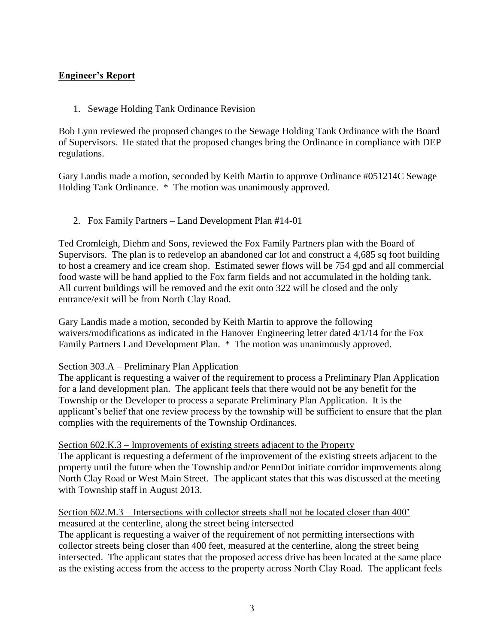# **Engineer's Report**

1. Sewage Holding Tank Ordinance Revision

Bob Lynn reviewed the proposed changes to the Sewage Holding Tank Ordinance with the Board of Supervisors. He stated that the proposed changes bring the Ordinance in compliance with DEP regulations.

Gary Landis made a motion, seconded by Keith Martin to approve Ordinance #051214C Sewage Holding Tank Ordinance. \* The motion was unanimously approved.

## 2. Fox Family Partners – Land Development Plan #14-01

Ted Cromleigh, Diehm and Sons, reviewed the Fox Family Partners plan with the Board of Supervisors. The plan is to redevelop an abandoned car lot and construct a 4,685 sq foot building to host a creamery and ice cream shop. Estimated sewer flows will be 754 gpd and all commercial food waste will be hand applied to the Fox farm fields and not accumulated in the holding tank. All current buildings will be removed and the exit onto 322 will be closed and the only entrance/exit will be from North Clay Road.

Gary Landis made a motion, seconded by Keith Martin to approve the following waivers/modifications as indicated in the Hanover Engineering letter dated 4/1/14 for the Fox Family Partners Land Development Plan. \* The motion was unanimously approved.

## Section 303.A – Preliminary Plan Application

The applicant is requesting a waiver of the requirement to process a Preliminary Plan Application for a land development plan. The applicant feels that there would not be any benefit for the Township or the Developer to process a separate Preliminary Plan Application. It is the applicant's belief that one review process by the township will be sufficient to ensure that the plan complies with the requirements of the Township Ordinances.

## Section 602.K.3 – Improvements of existing streets adjacent to the Property

The applicant is requesting a deferment of the improvement of the existing streets adjacent to the property until the future when the Township and/or PennDot initiate corridor improvements along North Clay Road or West Main Street. The applicant states that this was discussed at the meeting with Township staff in August 2013.

## Section 602.M.3 – Intersections with collector streets shall not be located closer than 400' measured at the centerline, along the street being intersected

The applicant is requesting a waiver of the requirement of not permitting intersections with collector streets being closer than 400 feet, measured at the centerline, along the street being intersected. The applicant states that the proposed access drive has been located at the same place as the existing access from the access to the property across North Clay Road. The applicant feels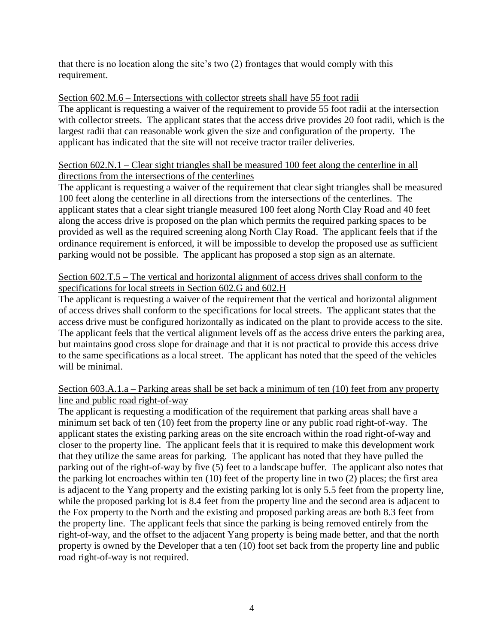that there is no location along the site's two (2) frontages that would comply with this requirement.

# Section 602.M.6 – Intersections with collector streets shall have 55 foot radii

The applicant is requesting a waiver of the requirement to provide 55 foot radii at the intersection with collector streets. The applicant states that the access drive provides 20 foot radii, which is the largest radii that can reasonable work given the size and configuration of the property. The applicant has indicated that the site will not receive tractor trailer deliveries.

## Section 602.N.1 – Clear sight triangles shall be measured 100 feet along the centerline in all directions from the intersections of the centerlines

The applicant is requesting a waiver of the requirement that clear sight triangles shall be measured 100 feet along the centerline in all directions from the intersections of the centerlines. The applicant states that a clear sight triangle measured 100 feet along North Clay Road and 40 feet along the access drive is proposed on the plan which permits the required parking spaces to be provided as well as the required screening along North Clay Road. The applicant feels that if the ordinance requirement is enforced, it will be impossible to develop the proposed use as sufficient parking would not be possible. The applicant has proposed a stop sign as an alternate.

# Section 602.T.5 – The vertical and horizontal alignment of access drives shall conform to the specifications for local streets in Section 602.G and 602.H

The applicant is requesting a waiver of the requirement that the vertical and horizontal alignment of access drives shall conform to the specifications for local streets. The applicant states that the access drive must be configured horizontally as indicated on the plant to provide access to the site. The applicant feels that the vertical alignment levels off as the access drive enters the parking area, but maintains good cross slope for drainage and that it is not practical to provide this access drive to the same specifications as a local street. The applicant has noted that the speed of the vehicles will be minimal.

## Section 603.A.1.a – Parking areas shall be set back a minimum of ten (10) feet from any property line and public road right-of-way

The applicant is requesting a modification of the requirement that parking areas shall have a minimum set back of ten (10) feet from the property line or any public road right-of-way. The applicant states the existing parking areas on the site encroach within the road right-of-way and closer to the property line. The applicant feels that it is required to make this development work that they utilize the same areas for parking. The applicant has noted that they have pulled the parking out of the right-of-way by five (5) feet to a landscape buffer. The applicant also notes that the parking lot encroaches within ten (10) feet of the property line in two (2) places; the first area is adjacent to the Yang property and the existing parking lot is only 5.5 feet from the property line, while the proposed parking lot is 8.4 feet from the property line and the second area is adjacent to the Fox property to the North and the existing and proposed parking areas are both 8.3 feet from the property line. The applicant feels that since the parking is being removed entirely from the right-of-way, and the offset to the adjacent Yang property is being made better, and that the north property is owned by the Developer that a ten (10) foot set back from the property line and public road right-of-way is not required.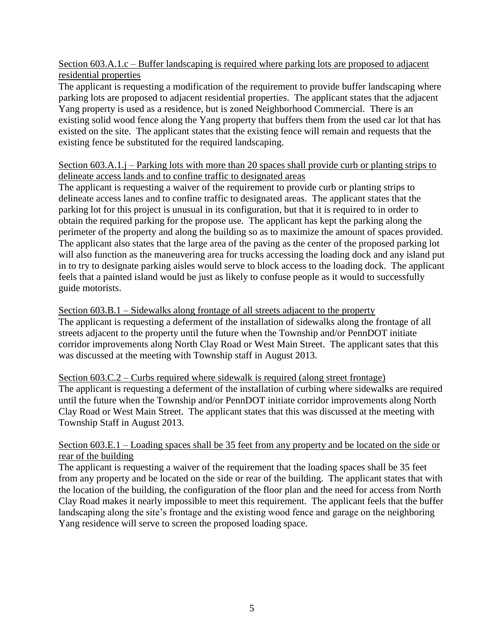Section 603.A.1.c – Buffer landscaping is required where parking lots are proposed to adjacent residential properties

The applicant is requesting a modification of the requirement to provide buffer landscaping where parking lots are proposed to adjacent residential properties. The applicant states that the adjacent Yang property is used as a residence, but is zoned Neighborhood Commercial. There is an existing solid wood fence along the Yang property that buffers them from the used car lot that has existed on the site. The applicant states that the existing fence will remain and requests that the existing fence be substituted for the required landscaping.

# Section 603.A.1.j – Parking lots with more than 20 spaces shall provide curb or planting strips to delineate access lands and to confine traffic to designated areas

The applicant is requesting a waiver of the requirement to provide curb or planting strips to delineate access lanes and to confine traffic to designated areas. The applicant states that the parking lot for this project is unusual in its configuration, but that it is required to in order to obtain the required parking for the propose use. The applicant has kept the parking along the perimeter of the property and along the building so as to maximize the amount of spaces provided. The applicant also states that the large area of the paving as the center of the proposed parking lot will also function as the maneuvering area for trucks accessing the loading dock and any island put in to try to designate parking aisles would serve to block access to the loading dock. The applicant feels that a painted island would be just as likely to confuse people as it would to successfully guide motorists.

# Section 603.B.1 – Sidewalks along frontage of all streets adjacent to the property

The applicant is requesting a deferment of the installation of sidewalks along the frontage of all streets adjacent to the property until the future when the Township and/or PennDOT initiate corridor improvements along North Clay Road or West Main Street. The applicant sates that this was discussed at the meeting with Township staff in August 2013.

## Section 603.C.2 – Curbs required where sidewalk is required (along street frontage)

The applicant is requesting a deferment of the installation of curbing where sidewalks are required until the future when the Township and/or PennDOT initiate corridor improvements along North Clay Road or West Main Street. The applicant states that this was discussed at the meeting with Township Staff in August 2013.

## Section 603.E.1 – Loading spaces shall be 35 feet from any property and be located on the side or rear of the building

The applicant is requesting a waiver of the requirement that the loading spaces shall be 35 feet from any property and be located on the side or rear of the building. The applicant states that with the location of the building, the configuration of the floor plan and the need for access from North Clay Road makes it nearly impossible to meet this requirement. The applicant feels that the buffer landscaping along the site's frontage and the existing wood fence and garage on the neighboring Yang residence will serve to screen the proposed loading space.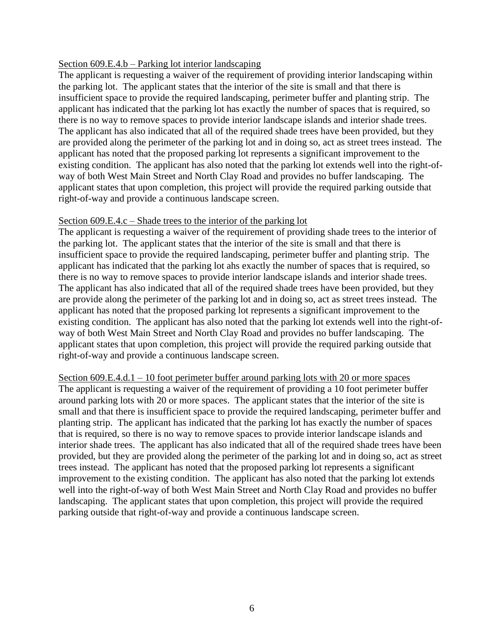## Section 609.E.4.b – Parking lot interior landscaping

The applicant is requesting a waiver of the requirement of providing interior landscaping within the parking lot. The applicant states that the interior of the site is small and that there is insufficient space to provide the required landscaping, perimeter buffer and planting strip. The applicant has indicated that the parking lot has exactly the number of spaces that is required, so there is no way to remove spaces to provide interior landscape islands and interior shade trees. The applicant has also indicated that all of the required shade trees have been provided, but they are provided along the perimeter of the parking lot and in doing so, act as street trees instead. The applicant has noted that the proposed parking lot represents a significant improvement to the existing condition. The applicant has also noted that the parking lot extends well into the right-ofway of both West Main Street and North Clay Road and provides no buffer landscaping. The applicant states that upon completion, this project will provide the required parking outside that right-of-way and provide a continuous landscape screen.

#### Section 609.E.4.c – Shade trees to the interior of the parking lot

The applicant is requesting a waiver of the requirement of providing shade trees to the interior of the parking lot. The applicant states that the interior of the site is small and that there is insufficient space to provide the required landscaping, perimeter buffer and planting strip. The applicant has indicated that the parking lot ahs exactly the number of spaces that is required, so there is no way to remove spaces to provide interior landscape islands and interior shade trees. The applicant has also indicated that all of the required shade trees have been provided, but they are provide along the perimeter of the parking lot and in doing so, act as street trees instead. The applicant has noted that the proposed parking lot represents a significant improvement to the existing condition. The applicant has also noted that the parking lot extends well into the right-ofway of both West Main Street and North Clay Road and provides no buffer landscaping. The applicant states that upon completion, this project will provide the required parking outside that right-of-way and provide a continuous landscape screen.

Section 609.E.4.d.1 – 10 foot perimeter buffer around parking lots with 20 or more spaces The applicant is requesting a waiver of the requirement of providing a 10 foot perimeter buffer around parking lots with 20 or more spaces. The applicant states that the interior of the site is small and that there is insufficient space to provide the required landscaping, perimeter buffer and planting strip. The applicant has indicated that the parking lot has exactly the number of spaces that is required, so there is no way to remove spaces to provide interior landscape islands and interior shade trees. The applicant has also indicated that all of the required shade trees have been provided, but they are provided along the perimeter of the parking lot and in doing so, act as street trees instead. The applicant has noted that the proposed parking lot represents a significant improvement to the existing condition. The applicant has also noted that the parking lot extends well into the right-of-way of both West Main Street and North Clay Road and provides no buffer landscaping. The applicant states that upon completion, this project will provide the required parking outside that right-of-way and provide a continuous landscape screen.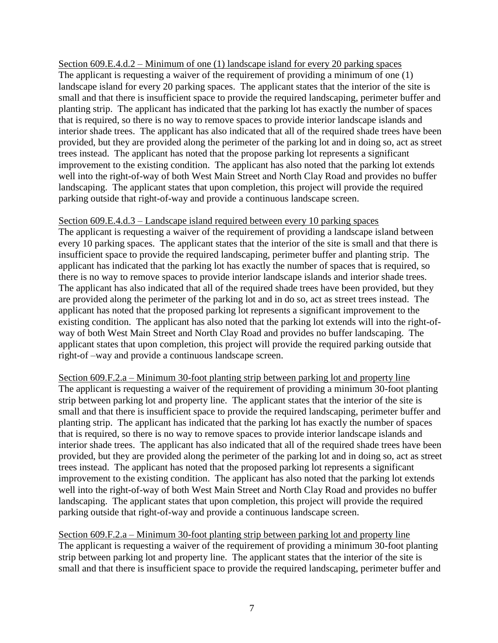# Section 609.E.4.d.2 – Minimum of one (1) landscape island for every 20 parking spaces

The applicant is requesting a waiver of the requirement of providing a minimum of one (1) landscape island for every 20 parking spaces. The applicant states that the interior of the site is small and that there is insufficient space to provide the required landscaping, perimeter buffer and planting strip. The applicant has indicated that the parking lot has exactly the number of spaces that is required, so there is no way to remove spaces to provide interior landscape islands and interior shade trees. The applicant has also indicated that all of the required shade trees have been provided, but they are provided along the perimeter of the parking lot and in doing so, act as street trees instead. The applicant has noted that the propose parking lot represents a significant improvement to the existing condition. The applicant has also noted that the parking lot extends well into the right-of-way of both West Main Street and North Clay Road and provides no buffer landscaping. The applicant states that upon completion, this project will provide the required parking outside that right-of-way and provide a continuous landscape screen.

#### Section 609.E.4.d.3 – Landscape island required between every 10 parking spaces

The applicant is requesting a waiver of the requirement of providing a landscape island between every 10 parking spaces. The applicant states that the interior of the site is small and that there is insufficient space to provide the required landscaping, perimeter buffer and planting strip. The applicant has indicated that the parking lot has exactly the number of spaces that is required, so there is no way to remove spaces to provide interior landscape islands and interior shade trees. The applicant has also indicated that all of the required shade trees have been provided, but they are provided along the perimeter of the parking lot and in do so, act as street trees instead. The applicant has noted that the proposed parking lot represents a significant improvement to the existing condition. The applicant has also noted that the parking lot extends will into the right-ofway of both West Main Street and North Clay Road and provides no buffer landscaping. The applicant states that upon completion, this project will provide the required parking outside that right-of –way and provide a continuous landscape screen.

Section 609.F.2.a – Minimum 30-foot planting strip between parking lot and property line The applicant is requesting a waiver of the requirement of providing a minimum 30-foot planting strip between parking lot and property line. The applicant states that the interior of the site is small and that there is insufficient space to provide the required landscaping, perimeter buffer and planting strip. The applicant has indicated that the parking lot has exactly the number of spaces that is required, so there is no way to remove spaces to provide interior landscape islands and interior shade trees. The applicant has also indicated that all of the required shade trees have been provided, but they are provided along the perimeter of the parking lot and in doing so, act as street trees instead. The applicant has noted that the proposed parking lot represents a significant improvement to the existing condition. The applicant has also noted that the parking lot extends well into the right-of-way of both West Main Street and North Clay Road and provides no buffer landscaping. The applicant states that upon completion, this project will provide the required parking outside that right-of-way and provide a continuous landscape screen.

Section 609.F.2.a – Minimum 30-foot planting strip between parking lot and property line The applicant is requesting a waiver of the requirement of providing a minimum 30-foot planting strip between parking lot and property line. The applicant states that the interior of the site is small and that there is insufficient space to provide the required landscaping, perimeter buffer and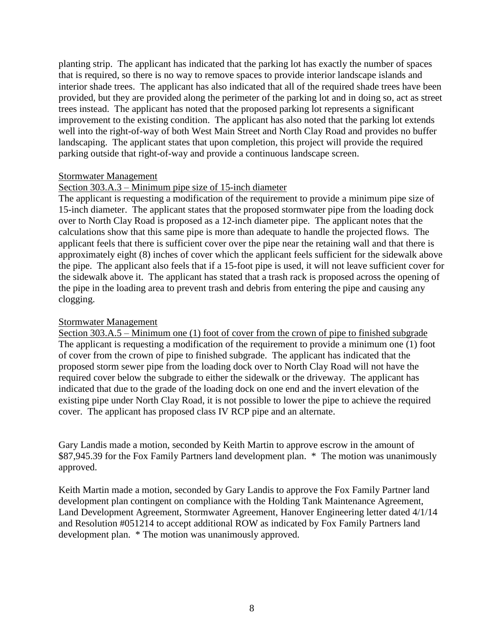planting strip. The applicant has indicated that the parking lot has exactly the number of spaces that is required, so there is no way to remove spaces to provide interior landscape islands and interior shade trees. The applicant has also indicated that all of the required shade trees have been provided, but they are provided along the perimeter of the parking lot and in doing so, act as street trees instead. The applicant has noted that the proposed parking lot represents a significant improvement to the existing condition. The applicant has also noted that the parking lot extends well into the right-of-way of both West Main Street and North Clay Road and provides no buffer landscaping. The applicant states that upon completion, this project will provide the required parking outside that right-of-way and provide a continuous landscape screen.

## Stormwater Management

## Section 303.A.3 – Minimum pipe size of 15-inch diameter

The applicant is requesting a modification of the requirement to provide a minimum pipe size of 15-inch diameter. The applicant states that the proposed stormwater pipe from the loading dock over to North Clay Road is proposed as a 12-inch diameter pipe. The applicant notes that the calculations show that this same pipe is more than adequate to handle the projected flows. The applicant feels that there is sufficient cover over the pipe near the retaining wall and that there is approximately eight (8) inches of cover which the applicant feels sufficient for the sidewalk above the pipe. The applicant also feels that if a 15-foot pipe is used, it will not leave sufficient cover for the sidewalk above it. The applicant has stated that a trash rack is proposed across the opening of the pipe in the loading area to prevent trash and debris from entering the pipe and causing any clogging.

#### Stormwater Management

Section 303.A.5 – Minimum one (1) foot of cover from the crown of pipe to finished subgrade The applicant is requesting a modification of the requirement to provide a minimum one (1) foot of cover from the crown of pipe to finished subgrade. The applicant has indicated that the proposed storm sewer pipe from the loading dock over to North Clay Road will not have the required cover below the subgrade to either the sidewalk or the driveway. The applicant has indicated that due to the grade of the loading dock on one end and the invert elevation of the existing pipe under North Clay Road, it is not possible to lower the pipe to achieve the required cover. The applicant has proposed class IV RCP pipe and an alternate.

Gary Landis made a motion, seconded by Keith Martin to approve escrow in the amount of \$87,945.39 for the Fox Family Partners land development plan. \* The motion was unanimously approved.

Keith Martin made a motion, seconded by Gary Landis to approve the Fox Family Partner land development plan contingent on compliance with the Holding Tank Maintenance Agreement, Land Development Agreement, Stormwater Agreement, Hanover Engineering letter dated 4/1/14 and Resolution #051214 to accept additional ROW as indicated by Fox Family Partners land development plan. \* The motion was unanimously approved.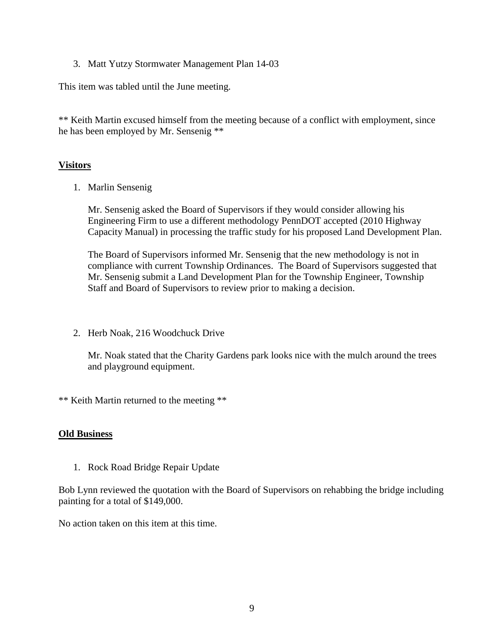3. Matt Yutzy Stormwater Management Plan 14-03

This item was tabled until the June meeting.

\*\* Keith Martin excused himself from the meeting because of a conflict with employment, since he has been employed by Mr. Sensenig \*\*

# **Visitors**

1. Marlin Sensenig

Mr. Sensenig asked the Board of Supervisors if they would consider allowing his Engineering Firm to use a different methodology PennDOT accepted (2010 Highway Capacity Manual) in processing the traffic study for his proposed Land Development Plan.

The Board of Supervisors informed Mr. Sensenig that the new methodology is not in compliance with current Township Ordinances. The Board of Supervisors suggested that Mr. Sensenig submit a Land Development Plan for the Township Engineer, Township Staff and Board of Supervisors to review prior to making a decision.

2. Herb Noak, 216 Woodchuck Drive

Mr. Noak stated that the Charity Gardens park looks nice with the mulch around the trees and playground equipment.

\*\* Keith Martin returned to the meeting \*\*

## **Old Business**

1. Rock Road Bridge Repair Update

Bob Lynn reviewed the quotation with the Board of Supervisors on rehabbing the bridge including painting for a total of \$149,000.

No action taken on this item at this time.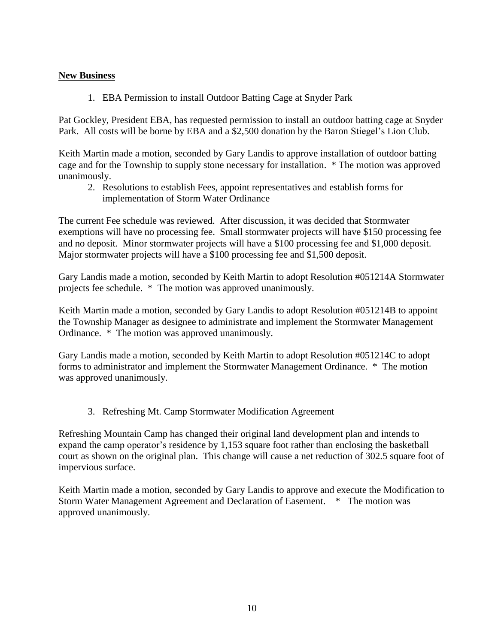# **New Business**

1. EBA Permission to install Outdoor Batting Cage at Snyder Park

Pat Gockley, President EBA, has requested permission to install an outdoor batting cage at Snyder Park. All costs will be borne by EBA and a \$2,500 donation by the Baron Stiegel's Lion Club.

Keith Martin made a motion, seconded by Gary Landis to approve installation of outdoor batting cage and for the Township to supply stone necessary for installation. \* The motion was approved unanimously.

2. Resolutions to establish Fees, appoint representatives and establish forms for implementation of Storm Water Ordinance

The current Fee schedule was reviewed. After discussion, it was decided that Stormwater exemptions will have no processing fee. Small stormwater projects will have \$150 processing fee and no deposit. Minor stormwater projects will have a \$100 processing fee and \$1,000 deposit. Major stormwater projects will have a \$100 processing fee and \$1,500 deposit.

Gary Landis made a motion, seconded by Keith Martin to adopt Resolution #051214A Stormwater projects fee schedule. \* The motion was approved unanimously.

Keith Martin made a motion, seconded by Gary Landis to adopt Resolution #051214B to appoint the Township Manager as designee to administrate and implement the Stormwater Management Ordinance. \* The motion was approved unanimously.

Gary Landis made a motion, seconded by Keith Martin to adopt Resolution #051214C to adopt forms to administrator and implement the Stormwater Management Ordinance. \* The motion was approved unanimously.

3. Refreshing Mt. Camp Stormwater Modification Agreement

Refreshing Mountain Camp has changed their original land development plan and intends to expand the camp operator's residence by 1,153 square foot rather than enclosing the basketball court as shown on the original plan. This change will cause a net reduction of 302.5 square foot of impervious surface.

Keith Martin made a motion, seconded by Gary Landis to approve and execute the Modification to Storm Water Management Agreement and Declaration of Easement. \* The motion was approved unanimously.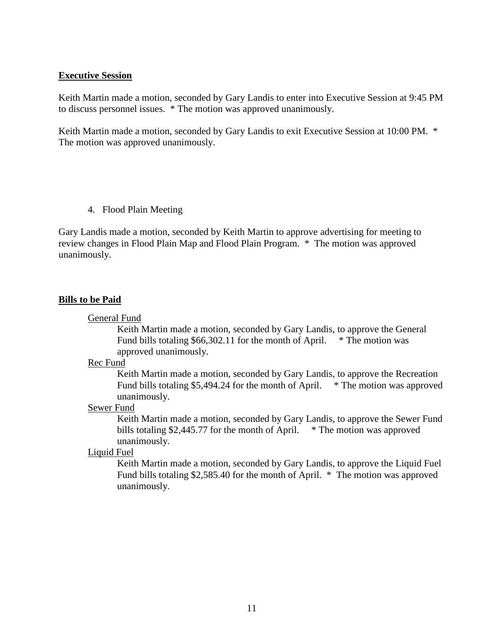#### **Executive Session**

Keith Martin made a motion, seconded by Gary Landis to enter into Executive Session at 9:45 PM to discuss personnel issues. \* The motion was approved unanimously.

Keith Martin made a motion, seconded by Gary Landis to exit Executive Session at 10:00 PM. \* The motion was approved unanimously.

4. Flood Plain Meeting

Gary Landis made a motion, seconded by Keith Martin to approve advertising for meeting to review changes in Flood Plain Map and Flood Plain Program. \* The motion was approved unanimously.

#### **Bills to be Paid**

General Fund

Keith Martin made a motion, seconded by Gary Landis, to approve the General Fund bills totaling  $$66,302.11$  for the month of April.  $*$  The motion was approved unanimously.

Rec Fund

Keith Martin made a motion, seconded by Gary Landis, to approve the Recreation Fund bills totaling \$5,494.24 for the month of April. \* The motion was approved unanimously.

#### Sewer Fund

Keith Martin made a motion, seconded by Gary Landis, to approve the Sewer Fund bills totaling \$2,445.77 for the month of April.  $*$  The motion was approved unanimously.

# Liquid Fuel

Keith Martin made a motion, seconded by Gary Landis, to approve the Liquid Fuel Fund bills totaling \$2,585.40 for the month of April. \* The motion was approved unanimously.